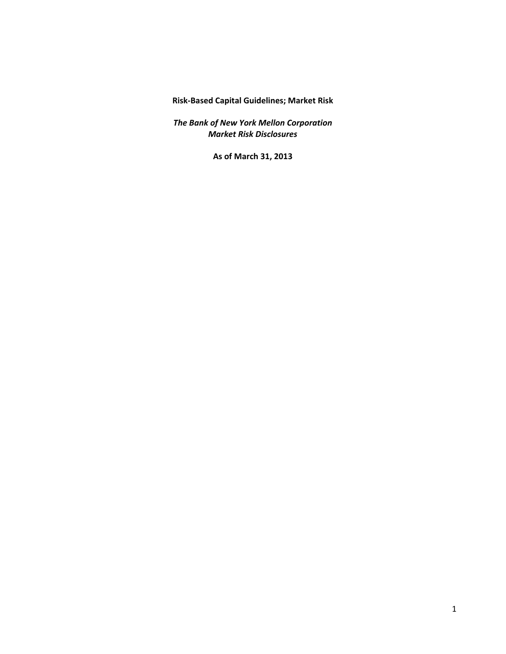**Risk‐Based Capital Guidelines; Market Risk**

*The Bank of New York Mellon Corporation Market Risk Disclosures*

 **As of March 31, 2013**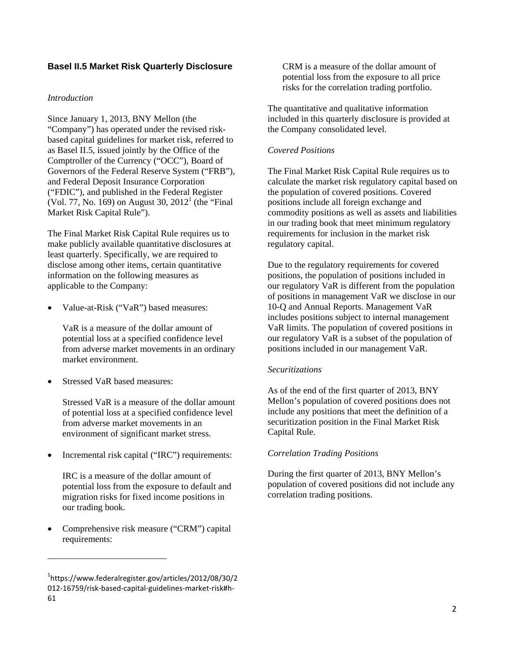# **Basel II.5 Market Risk Quarterly Disclosure**

#### *Introduction*

Since January 1, 2013, BNY Mellon (the "Company") has operated under the revised riskbased capital guidelines for market risk, referred to as Basel II.5, issued jointly by the Office of the Comptroller of the Currency ("OCC"), Board of Governors of the Federal Reserve System ("FRB"), and Federal Deposit Insurance Corporation ("FDIC"), and published in the Federal Register (Vol. 77, No. 169) on August 30,  $2012^1$  (the "Final" Market Risk Capital Rule").

The Final Market Risk Capital Rule requires us to make publicly available quantitative disclosures at least quarterly. Specifically, we are required to disclose among other items, certain quantitative information on the following measures as applicable to the Company:

Value-at-Risk ("VaR") based measures:

VaR is a measure of the dollar amount of potential loss at a specified confidence level from adverse market movements in an ordinary market environment.

Stressed VaR based measures:

Stressed VaR is a measure of the dollar amount of potential loss at a specified confidence level from adverse market movements in an environment of significant market stress.

Incremental risk capital ("IRC") requirements:

IRC is a measure of the dollar amount of potential loss from the exposure to default and migration risks for fixed income positions in our trading book.

 Comprehensive risk measure ("CRM") capital requirements:

CRM is a measure of the dollar amount of potential loss from the exposure to all price risks for the correlation trading portfolio.

The quantitative and qualitative information included in this quarterly disclosure is provided at the Company consolidated level.

### *Covered Positions*

The Final Market Risk Capital Rule requires us to calculate the market risk regulatory capital based on the population of covered positions. Covered positions include all foreign exchange and commodity positions as well as assets and liabilities in our trading book that meet minimum regulatory requirements for inclusion in the market risk regulatory capital.

Due to the regulatory requirements for covered positions, the population of positions included in our regulatory VaR is different from the population of positions in management VaR we disclose in our 10-Q and Annual Reports. Management VaR includes positions subject to internal management VaR limits. The population of covered positions in our regulatory VaR is a subset of the population of positions included in our management VaR.

#### *Securitizations*

As of the end of the first quarter of 2013, BNY Mellon's population of covered positions does not include any positions that meet the definition of a securitization position in the Final Market Risk Capital Rule.

### *Correlation Trading Positions*

During the first quarter of 2013, BNY Mellon's population of covered positions did not include any correlation trading positions.

<sup>1</sup> https://www.federalregister.gov/articles/2012/08/30/2 012‐16759/risk‐based‐capital‐guidelines‐market‐risk#h‐ 61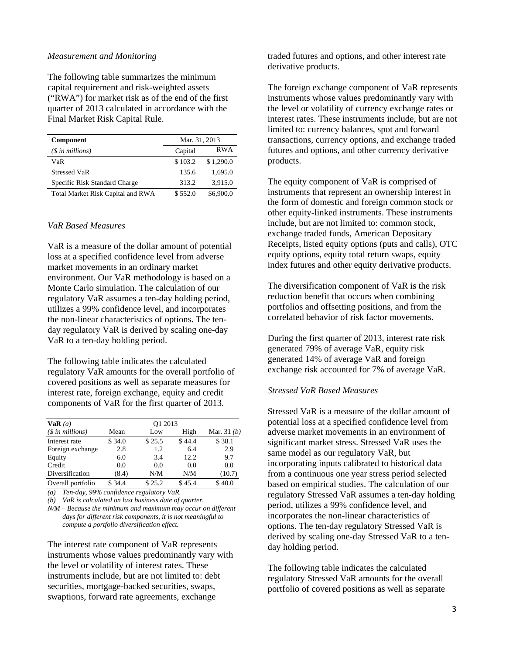#### *Measurement and Monitoring*

The following table summarizes the minimum capital requirement and risk-weighted assets ("RWA") for market risk as of the end of the first quarter of 2013 calculated in accordance with the Final Market Risk Capital Rule.

| <b>Component</b>                  | Mar. 31, 2013 |            |
|-----------------------------------|---------------|------------|
| $(S \in \mathbb{N})$ in millions) | Capital       | <b>RWA</b> |
| VaR                               | \$103.2       | \$1,290.0  |
| <b>Stressed VaR</b>               | 135.6         | 1.695.0    |
| Specific Risk Standard Charge     | 313.2         | 3,915.0    |
| Total Market Risk Capital and RWA | \$552.0       | \$6,900.0  |

#### *VaR Based Measures*

VaR is a measure of the dollar amount of potential loss at a specified confidence level from adverse market movements in an ordinary market environment. Our VaR methodology is based on a Monte Carlo simulation. The calculation of our regulatory VaR assumes a ten-day holding period, utilizes a 99% confidence level, and incorporates the non-linear characteristics of options. The tenday regulatory VaR is derived by scaling one-day VaR to a ten-day holding period.

The following table indicates the calculated regulatory VaR amounts for the overall portfolio of covered positions as well as separate measures for interest rate, foreign exchange, equity and credit components of VaR for the first quarter of 2013.

| VaR(a)<br>$(S \in millions)$ | O1 2013 |        |        |               |
|------------------------------|---------|--------|--------|---------------|
|                              | Mean    | Low    | High   | Mar. 31 $(b)$ |
| Interest rate                | \$34.0  | \$25.5 | \$44.4 | \$38.1        |
| Foreign exchange             | 2.8     | 1.2    | 6.4    | 2.9           |
| Equity                       | 6.0     | 3.4    | 12.2   | 9.7           |
| Credit                       | 0.0     | 0.0    | 0.0    | 0.0           |
| Diversification              | (8.4)   | N/M    | N/M    | (10.7)        |
| Overall portfolio            | \$34.4  | \$25.2 | \$45.4 | \$40.0        |

*(a) Ten-day, 99% confidence regulatory VaR.* 

*(b) VaR is calculated on last business date of quarter.* 

*N/M* – *Because the minimum and maximum may occur on different days for different risk components, it is not meaningful to compute a portfolio diversification effect.*

The interest rate component of VaR represents instruments whose values predominantly vary with the level or volatility of interest rates. These instruments include, but are not limited to: debt securities, mortgage-backed securities, swaps, swaptions, forward rate agreements, exchange

traded futures and options, and other interest rate derivative products.

The foreign exchange component of VaR represents instruments whose values predominantly vary with the level or volatility of currency exchange rates or interest rates. These instruments include, but are not limited to: currency balances, spot and forward transactions, currency options, and exchange traded futures and options, and other currency derivative products.

The equity component of VaR is comprised of instruments that represent an ownership interest in the form of domestic and foreign common stock or other equity-linked instruments. These instruments include, but are not limited to: common stock, exchange traded funds, American Depositary Receipts, listed equity options (puts and calls), OTC equity options, equity total return swaps, equity index futures and other equity derivative products.

The diversification component of VaR is the risk reduction benefit that occurs when combining portfolios and offsetting positions, and from the correlated behavior of risk factor movements.

During the first quarter of 2013, interest rate risk generated 79% of average VaR, equity risk generated 14% of average VaR and foreign exchange risk accounted for 7% of average VaR.

### *Stressed VaR Based Measures*

Stressed VaR is a measure of the dollar amount of potential loss at a specified confidence level from adverse market movements in an environment of significant market stress. Stressed VaR uses the same model as our regulatory VaR, but incorporating inputs calibrated to historical data from a continuous one year stress period selected based on empirical studies. The calculation of our regulatory Stressed VaR assumes a ten-day holding period, utilizes a 99% confidence level, and incorporates the non-linear characteristics of options. The ten-day regulatory Stressed VaR is derived by scaling one-day Stressed VaR to a tenday holding period.

The following table indicates the calculated regulatory Stressed VaR amounts for the overall portfolio of covered positions as well as separate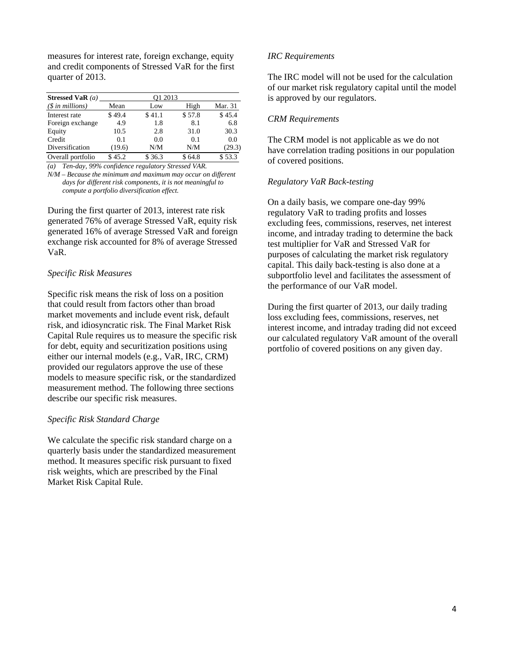measures for interest rate, foreign exchange, equity and credit components of Stressed VaR for the first quarter of 2013.

| Stressed VaR $(a)$ | O1 2013 |        |        |         |
|--------------------|---------|--------|--------|---------|
| $(\$$ in millions) | Mean    | Low    | High   | Mar. 31 |
| Interest rate      | \$49.4  | \$41.1 | \$57.8 | \$45.4  |
| Foreign exchange   | 4.9     | 1.8    | 8.1    | 6.8     |
| Equity             | 10.5    | 2.8    | 31.0   | 30.3    |
| Credit             | 0.1     | 0.0    | 0.1    | 0.0     |
| Diversification    | (19.6)  | N/M    | N/M    | (29.3)  |
| Overall portfolio  | \$45.2  | \$36.3 | \$64.8 | \$53.3  |

*(a) Ten-day, 99% confidence regulatory Stressed VAR.*

*N/M* – *Because the minimum and maximum may occur on different days for different risk components, it is not meaningful to compute a portfolio diversification effect.*

During the first quarter of 2013, interest rate risk generated 76% of average Stressed VaR, equity risk generated 16% of average Stressed VaR and foreign exchange risk accounted for 8% of average Stressed VaR.

# *Specific Risk Measures*

Specific risk means the risk of loss on a position that could result from factors other than broad market movements and include event risk, default risk, and idiosyncratic risk. The Final Market Risk Capital Rule requires us to measure the specific risk for debt, equity and securitization positions using either our internal models (e.g., VaR, IRC, CRM) provided our regulators approve the use of these models to measure specific risk, or the standardized measurement method. The following three sections describe our specific risk measures.

### *Specific Risk Standard Charge*

We calculate the specific risk standard charge on a quarterly basis under the standardized measurement method. It measures specific risk pursuant to fixed risk weights, which are prescribed by the Final Market Risk Capital Rule.

# *IRC Requirements*

The IRC model will not be used for the calculation of our market risk regulatory capital until the model is approved by our regulators.

## *CRM Requirements*

The CRM model is not applicable as we do not have correlation trading positions in our population of covered positions.

# *Regulatory VaR Back-testing*

On a daily basis, we compare one-day 99% regulatory VaR to trading profits and losses excluding fees, commissions, reserves, net interest income, and intraday trading to determine the back test multiplier for VaR and Stressed VaR for purposes of calculating the market risk regulatory capital. This daily back-testing is also done at a subportfolio level and facilitates the assessment of the performance of our VaR model.

During the first quarter of 2013, our daily trading loss excluding fees, commissions, reserves, net interest income, and intraday trading did not exceed our calculated regulatory VaR amount of the overall portfolio of covered positions on any given day.